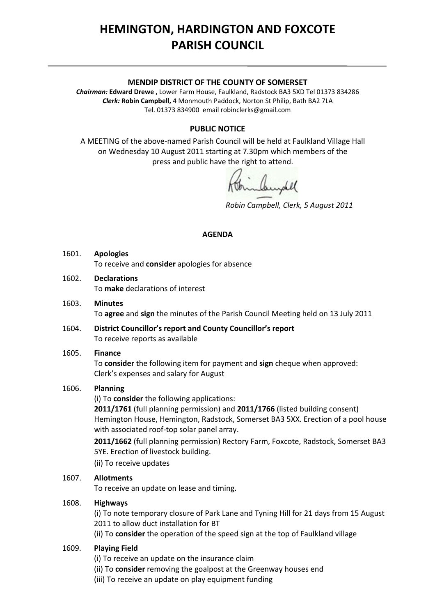# **HEMINGTON, HARDINGTON AND FOXCOTE PARISH COUNCIL**

#### **MENDIP DISTRICT OF THE COUNTY OF SOMERSET**

*Chairman:* **Edward Drewe ,** Lower Farm House, Faulkland, Radstock BA3 5XD Tel 01373 834286 *Clerk:* **Robin Campbell,** 4 Monmouth Paddock, Norton St Philip, Bath BA2 7LA Tel. 01373 834900 email [robinclerks@gmail.com](mailto:robinclerks@googlemail.com)

## **PUBLIC NOTICE**

A MEETING of the above‐named Parish Council will be held at Faulkland Village Hall on Wednesday 10 August 2011 starting at 7.30pm which members of the press and public have the right to attend.

*Robin Campbell, Clerk, 5 August 2011*

#### **AGENDA**

- 1601. **Apologies** To receive and **consider** apologies for absence
- 1602. **Declarations** To **make** declarations of interest
- 1603. **Minutes** To **agree** and **sign** the minutes of the Parish Council Meeting held on 13 July 2011
- 1604. **District Councillor's report and County Councillor's report** To receive reports as available

#### 1605. **Finance**

To **consider** the following item for payment and **sign** cheque when approved: Clerk's expenses and salary for August

## 1606. **Planning**

(i) To **consider** the following applications:

**2011/1761** (full planning permission) and **2011/1766** (listed building consent) Hemington House, Hemington, Radstock, Somerset BA3 5XX. Erection of a pool house with associated roof-top solar panel array.

**2011/1662** (full planning permission) Rectory Farm, Foxcote, Radstock, Somerset BA3 5YE. Erection of livestock building.

(ii) To receive updates

#### 1607. **Allotments**

To receive an update on lease and timing.

#### 1608. **Highways**

(i) To note temporary closure of Park Lane and Tyning Hill for 21 days from 15 August 2011 to allow duct installation for BT

(ii) To **consider** the operation of the speed sign at the top of Faulkland village

#### 1609. **Playing Field**

(i) To receive an update on the insurance claim

- (ii) To **consider** removing the goalpost at the Greenway houses end
- (iii) To receive an update on play equipment funding